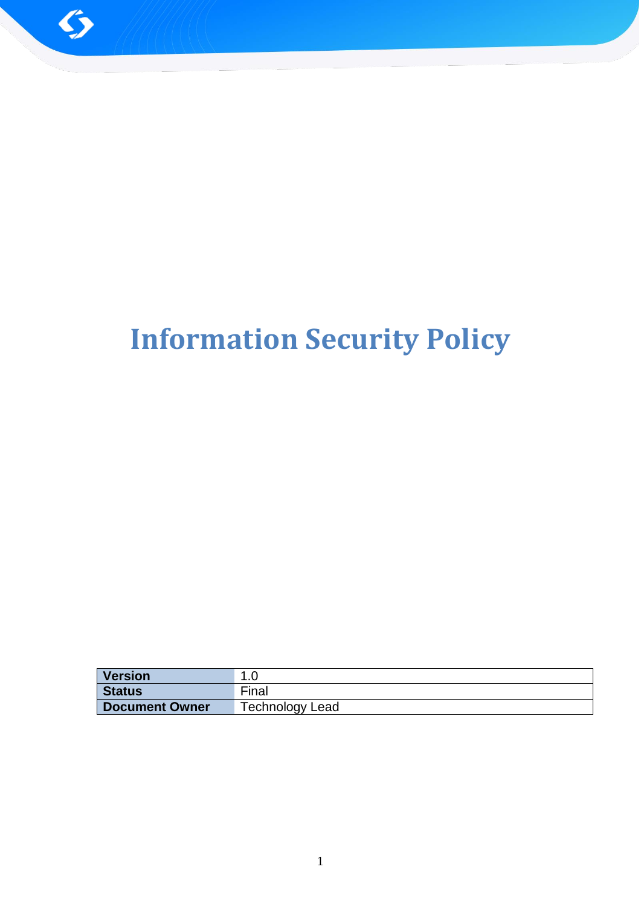

# **Information Security Policy**

| <b>Version</b>        |                        |
|-----------------------|------------------------|
| Status                | Final                  |
| <b>Document Owner</b> | <b>Technology Lead</b> |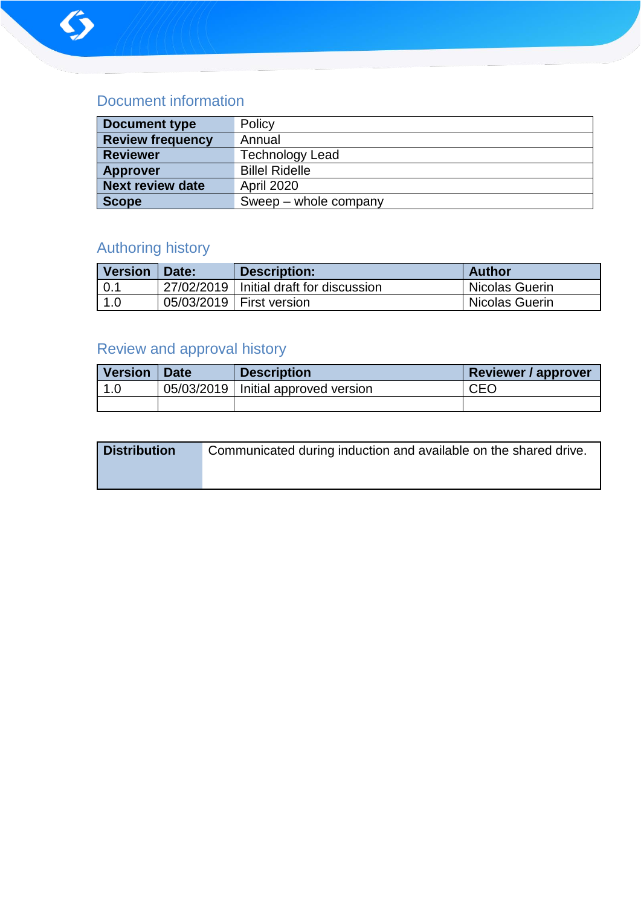

# Document information

| <b>Document type</b>    | Policy                 |
|-------------------------|------------------------|
| <b>Review frequency</b> | Annual                 |
| <b>Reviewer</b>         | <b>Technology Lead</b> |
| <b>Approver</b>         | <b>Billel Ridelle</b>  |
| <b>Next review date</b> | <b>April 2020</b>      |
| <b>Scope</b>            | Sweep – whole company  |

# Authoring history

| <b>Version</b> | Date: | Description:                              | <b>Author</b>  |
|----------------|-------|-------------------------------------------|----------------|
| 0.1            |       | 27/02/2019   Initial draft for discussion | Nicolas Guerin |
| 1.0            |       | 05/03/2019   First version                | Nicolas Guerin |

# Review and approval history

| <b>Version</b> | <b>Date</b> | <b>Description</b>                    | <b>Reviewer / approver</b> |
|----------------|-------------|---------------------------------------|----------------------------|
|                |             | 05/03/2019   Initial approved version | CEO                        |
|                |             |                                       |                            |

| <b>Distribution</b> | Communicated during induction and available on the shared drive. |
|---------------------|------------------------------------------------------------------|
|                     |                                                                  |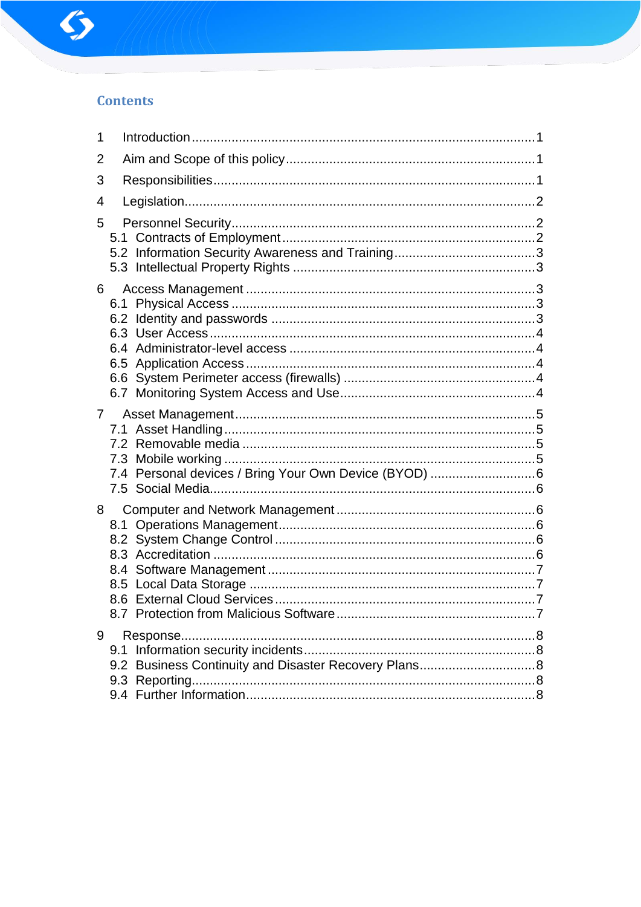

# **Contents**

| 1           |                                                              |  |
|-------------|--------------------------------------------------------------|--|
| 2           |                                                              |  |
| 3           |                                                              |  |
| 4           |                                                              |  |
| 5           |                                                              |  |
| 6           |                                                              |  |
| $7^{\circ}$ | 7.4 Personal devices / Bring Your Own Device (BYOD) 6        |  |
| 8           |                                                              |  |
| 9           | 9.1<br>9.2 Business Continuity and Disaster Recovery Plans 8 |  |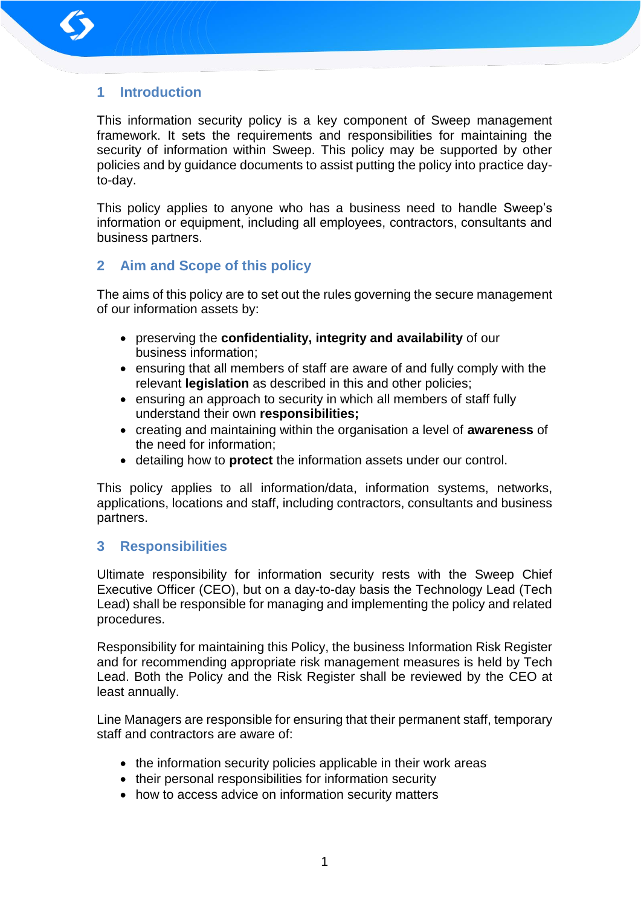

# **1 Introduction**

This information security policy is a key component of Sweep management framework. It sets the requirements and responsibilities for maintaining the security of information within Sweep. This policy may be supported by other policies and by guidance documents to assist putting the policy into practice dayto-day.

This policy applies to anyone who has a business need to handle Sweep's information or equipment, including all employees, contractors, consultants and business partners.

# **2 Aim and Scope of this policy**

The aims of this policy are to set out the rules governing the secure management of our information assets by:

- preserving the **confidentiality, integrity and availability** of our business information;
- ensuring that all members of staff are aware of and fully comply with the relevant **legislation** as described in this and other policies;
- ensuring an approach to security in which all members of staff fully understand their own **responsibilities;**
- creating and maintaining within the organisation a level of **awareness** of the need for information;
- detailing how to **protect** the information assets under our control.

This policy applies to all information/data, information systems, networks, applications, locations and staff, including contractors, consultants and business partners.

# **3 Responsibilities**

Ultimate responsibility for information security rests with the Sweep Chief Executive Officer (CEO), but on a day-to-day basis the Technology Lead (Tech Lead) shall be responsible for managing and implementing the policy and related procedures.

Responsibility for maintaining this Policy, the business Information Risk Register and for recommending appropriate risk management measures is held by Tech Lead. Both the Policy and the Risk Register shall be reviewed by the CEO at least annually.

Line Managers are responsible for ensuring that their permanent staff, temporary staff and contractors are aware of:

- the information security policies applicable in their work areas
- their personal responsibilities for information security
- how to access advice on information security matters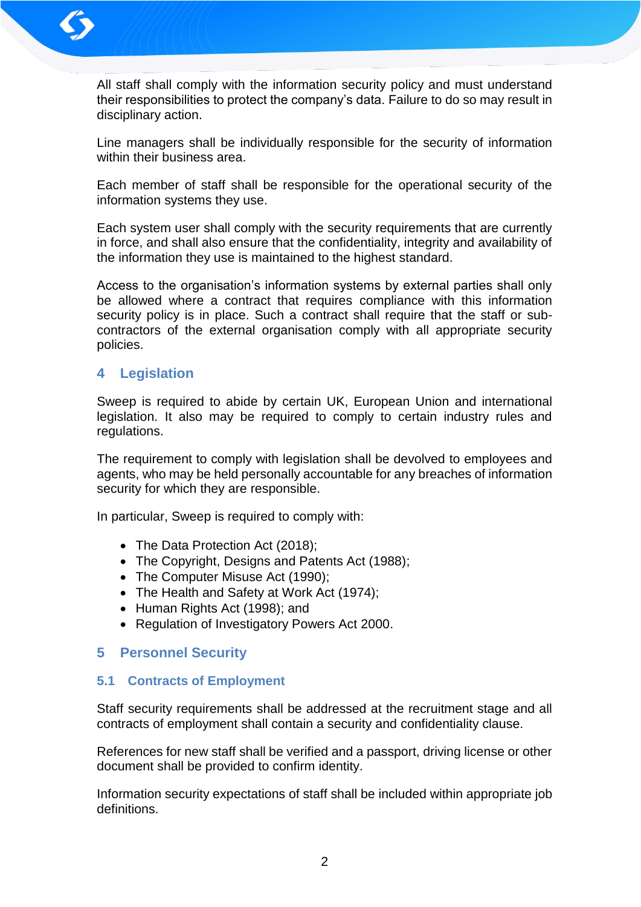

All staff shall comply with the information security policy and must understand their responsibilities to protect the company's data. Failure to do so may result in disciplinary action.

Line managers shall be individually responsible for the security of information within their business area.

Each member of staff shall be responsible for the operational security of the information systems they use.

Each system user shall comply with the security requirements that are currently in force, and shall also ensure that the confidentiality, integrity and availability of the information they use is maintained to the highest standard.

Access to the organisation's information systems by external parties shall only be allowed where a contract that requires compliance with this information security policy is in place. Such a contract shall require that the staff or subcontractors of the external organisation comply with all appropriate security policies.

# **4 Legislation**

Sweep is required to abide by certain UK, European Union and international legislation. It also may be required to comply to certain industry rules and regulations.

The requirement to comply with legislation shall be devolved to employees and agents, who may be held personally accountable for any breaches of information security for which they are responsible.

In particular, Sweep is required to comply with:

- The Data Protection Act (2018);
- The Copyright, Designs and Patents Act (1988);
- The Computer Misuse Act (1990);
- The Health and Safety at Work Act (1974);
- Human Rights Act (1998); and
- Regulation of Investigatory Powers Act 2000.

# **5 Personnel Security**

# **5.1 Contracts of Employment**

Staff security requirements shall be addressed at the recruitment stage and all contracts of employment shall contain a security and confidentiality clause.

References for new staff shall be verified and a passport, driving license or other document shall be provided to confirm identity.

Information security expectations of staff shall be included within appropriate job definitions.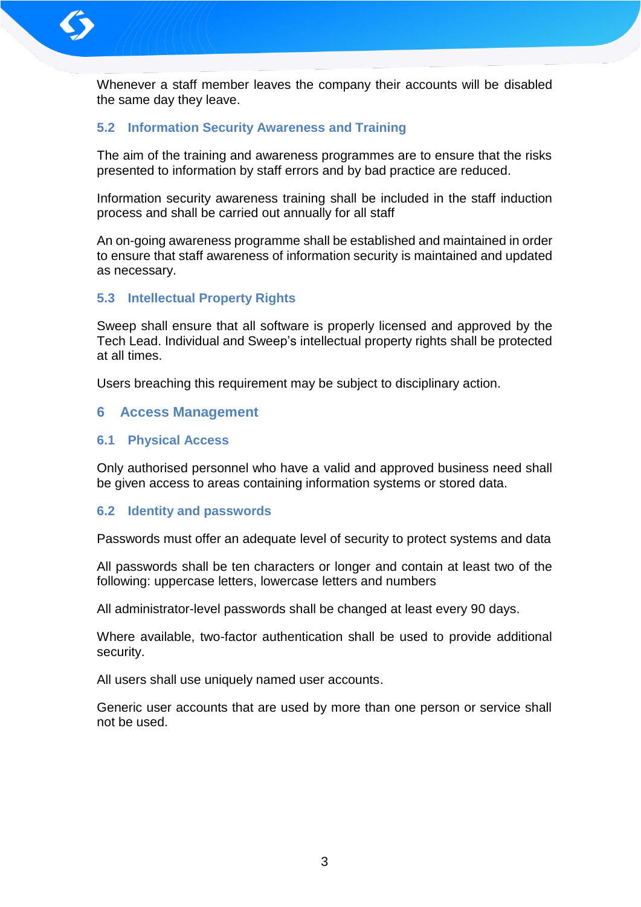

Whenever a staff member leaves the company their accounts will be disabled the same day they leave.

# **5.2 Information Security Awareness and Training**

The aim of the training and awareness programmes are to ensure that the risks presented to information by staff errors and by bad practice are reduced.

Information security awareness training shall be included in the staff induction process and shall be carried out annually for all staff

An on-going awareness programme shall be established and maintained in order to ensure that staff awareness of information security is maintained and updated as necessary.

# **5.3 Intellectual Property Rights**

Sweep shall ensure that all software is properly licensed and approved by the Tech Lead. Individual and Sweep's intellectual property rights shall be protected at all times.

Users breaching this requirement may be subject to disciplinary action.

# **6 Access Management**

#### **6.1 Physical Access**

Only authorised personnel who have a valid and approved business need shall be given access to areas containing information systems or stored data.

#### **6.2 Identity and passwords**

Passwords must offer an adequate level of security to protect systems and data

All passwords shall be ten characters or longer and contain at least two of the following: uppercase letters, lowercase letters and numbers

All administrator-level passwords shall be changed at least every 90 days.

Where available, two-factor authentication shall be used to provide additional security.

All users shall use uniquely named user accounts.

Generic user accounts that are used by more than one person or service shall not be used.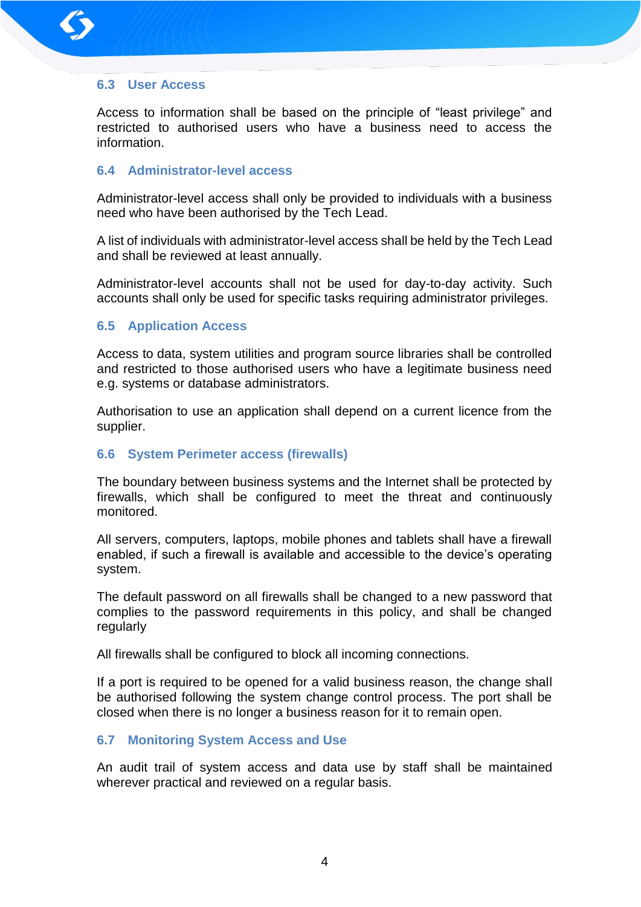

# **6.3 User Access**

Access to information shall be based on the principle of "least privilege" and restricted to authorised users who have a business need to access the information.

# **6.4 Administrator-level access**

Administrator-level access shall only be provided to individuals with a business need who have been authorised by the Tech Lead.

A list of individuals with administrator-level access shall be held by the Tech Lead and shall be reviewed at least annually.

Administrator-level accounts shall not be used for day-to-day activity. Such accounts shall only be used for specific tasks requiring administrator privileges.

# **6.5 Application Access**

Access to data, system utilities and program source libraries shall be controlled and restricted to those authorised users who have a legitimate business need e.g. systems or database administrators.

Authorisation to use an application shall depend on a current licence from the supplier.

# **6.6 System Perimeter access (firewalls)**

The boundary between business systems and the Internet shall be protected by firewalls, which shall be configured to meet the threat and continuously monitored.

All servers, computers, laptops, mobile phones and tablets shall have a firewall enabled, if such a firewall is available and accessible to the device's operating system.

The default password on all firewalls shall be changed to a new password that complies to the password requirements in this policy, and shall be changed regularly

All firewalls shall be configured to block all incoming connections.

If a port is required to be opened for a valid business reason, the change shall be authorised following the system change control process. The port shall be closed when there is no longer a business reason for it to remain open.

# **6.7 Monitoring System Access and Use**

An audit trail of system access and data use by staff shall be maintained wherever practical and reviewed on a regular basis.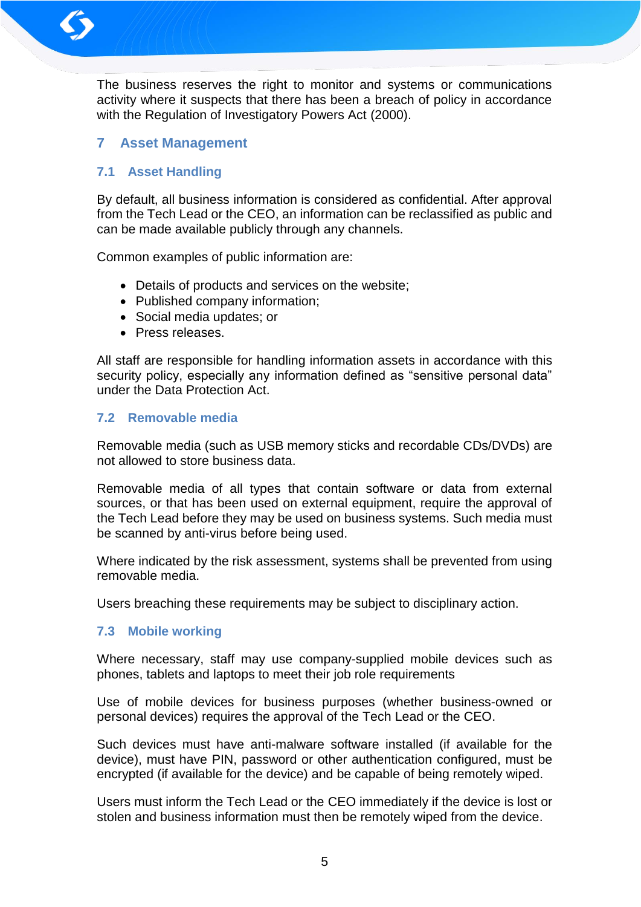

The business reserves the right to monitor and systems or communications activity where it suspects that there has been a breach of policy in accordance with the Regulation of Investigatory Powers Act (2000).

# **7 Asset Management**

# **7.1 Asset Handling**

By default, all business information is considered as confidential. After approval from the Tech Lead or the CEO, an information can be reclassified as public and can be made available publicly through any channels.

Common examples of public information are:

- Details of products and services on the website;
- Published company information:
- Social media updates; or
- Press releases.

All staff are responsible for handling information assets in accordance with this security policy, especially any information defined as "sensitive personal data" under the Data Protection Act.

# **7.2 Removable media**

Removable media (such as USB memory sticks and recordable CDs/DVDs) are not allowed to store business data.

Removable media of all types that contain software or data from external sources, or that has been used on external equipment, require the approval of the Tech Lead before they may be used on business systems. Such media must be scanned by anti-virus before being used.

Where indicated by the risk assessment, systems shall be prevented from using removable media.

Users breaching these requirements may be subject to disciplinary action.

# **7.3 Mobile working**

Where necessary, staff may use company-supplied mobile devices such as phones, tablets and laptops to meet their job role requirements

Use of mobile devices for business purposes (whether business-owned or personal devices) requires the approval of the Tech Lead or the CEO.

Such devices must have anti-malware software installed (if available for the device), must have PIN, password or other authentication configured, must be encrypted (if available for the device) and be capable of being remotely wiped.

Users must inform the Tech Lead or the CEO immediately if the device is lost or stolen and business information must then be remotely wiped from the device.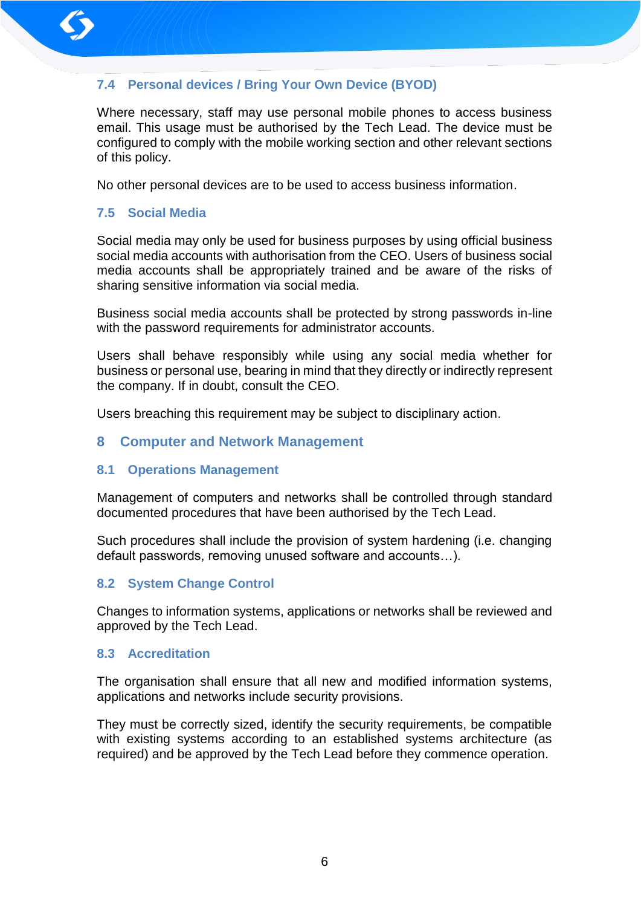

# **7.4 Personal devices / Bring Your Own Device (BYOD)**

Where necessary, staff may use personal mobile phones to access business email. This usage must be authorised by the Tech Lead. The device must be configured to comply with the mobile working section and other relevant sections of this policy.

No other personal devices are to be used to access business information.

# **7.5 Social Media**

Social media may only be used for business purposes by using official business social media accounts with authorisation from the CEO. Users of business social media accounts shall be appropriately trained and be aware of the risks of sharing sensitive information via social media.

Business social media accounts shall be protected by strong passwords in-line with the password requirements for administrator accounts.

Users shall behave responsibly while using any social media whether for business or personal use, bearing in mind that they directly or indirectly represent the company. If in doubt, consult the CEO.

Users breaching this requirement may be subject to disciplinary action.

# **8 Computer and Network Management**

# **8.1 Operations Management**

Management of computers and networks shall be controlled through standard documented procedures that have been authorised by the Tech Lead.

Such procedures shall include the provision of system hardening (i.e. changing default passwords, removing unused software and accounts…).

# **8.2 System Change Control**

Changes to information systems, applications or networks shall be reviewed and approved by the Tech Lead.

# **8.3 Accreditation**

The organisation shall ensure that all new and modified information systems, applications and networks include security provisions.

They must be correctly sized, identify the security requirements, be compatible with existing systems according to an established systems architecture (as required) and be approved by the Tech Lead before they commence operation.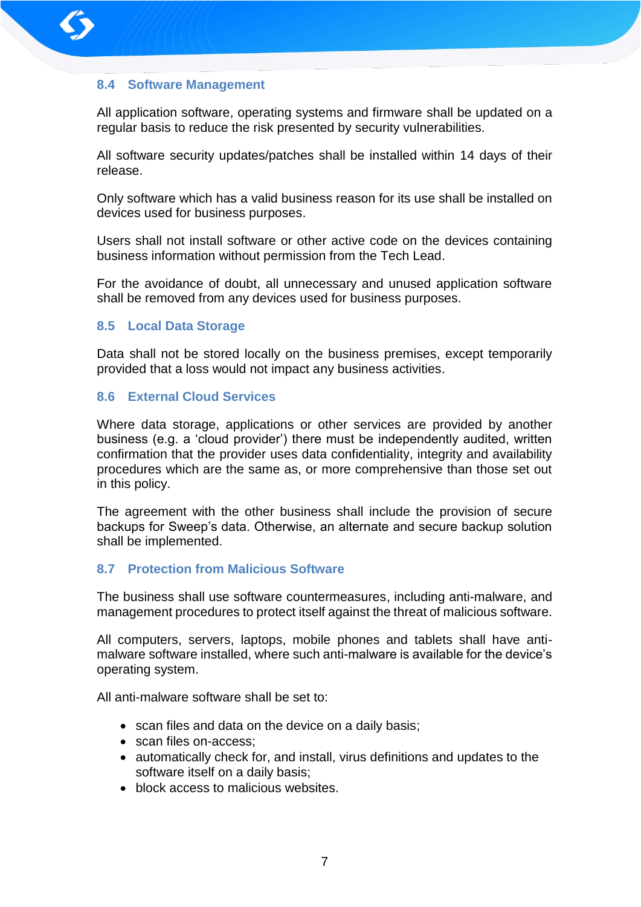

# **8.4 Software Management**

All application software, operating systems and firmware shall be updated on a regular basis to reduce the risk presented by security vulnerabilities.

All software security updates/patches shall be installed within 14 days of their release.

Only software which has a valid business reason for its use shall be installed on devices used for business purposes.

Users shall not install software or other active code on the devices containing business information without permission from the Tech Lead.

For the avoidance of doubt, all unnecessary and unused application software shall be removed from any devices used for business purposes.

#### **8.5 Local Data Storage**

Data shall not be stored locally on the business premises, except temporarily provided that a loss would not impact any business activities.

#### **8.6 External Cloud Services**

Where data storage, applications or other services are provided by another business (e.g. a 'cloud provider') there must be independently audited, written confirmation that the provider uses data confidentiality, integrity and availability procedures which are the same as, or more comprehensive than those set out in this policy.

The agreement with the other business shall include the provision of secure backups for Sweep's data. Otherwise, an alternate and secure backup solution shall be implemented.

# **8.7 Protection from Malicious Software**

The business shall use software countermeasures, including anti-malware, and management procedures to protect itself against the threat of malicious software.

All computers, servers, laptops, mobile phones and tablets shall have antimalware software installed, where such anti-malware is available for the device's operating system.

All anti-malware software shall be set to:

- scan files and data on the device on a daily basis;
- scan files on-access;
- automatically check for, and install, virus definitions and updates to the software itself on a daily basis;
- block access to malicious websites.